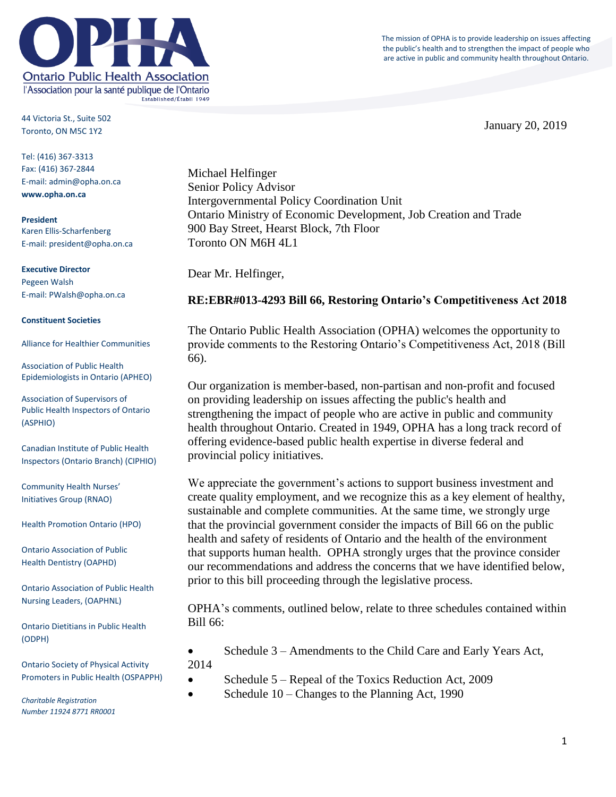The mission of OPHA is to provide leadership on issues affecting the public's health and to strengthen the impact of people who are active in public and community health throughout Ontario.



44 Victoria St., Suite 502 Toronto, ON M5C 1Y2

Tel: (416) 367-3313 Fax: (416) 367-2844 E-mail: admin@opha.on.ca **www.opha.on.ca**

**President** Karen Ellis-Scharfenberg E-mail: president@opha.on.ca

#### **Executive Director** Pegeen Walsh

E-mail: PWalsh@opha.on.ca

#### **Constituent Societies**

Alliance for Healthier Communities

Association of Public Health Epidemiologists in Ontario (APHEO)

Association of Supervisors of Public Health Inspectors of Ontario (ASPHIO)

Canadian Institute of Public Health Inspectors (Ontario Branch) (CIPHIO)

Community Health Nurses' Initiatives Group (RNAO)

Health Promotion Ontario (HPO)

Ontario Association of Public Health Dentistry (OAPHD)

Ontario Association of Public Health Nursing Leaders, (OAPHNL)

Ontario Dietitians in Public Health (ODPH)

Ontario Society of Physical Activity Promoters in Public Health (OSPAPPH)

*Charitable Registration Number 11924 8771 RR0001*

Michael Helfinger Senior Policy Advisor Intergovernmental Policy Coordination Unit Ontario Ministry of Economic Development, Job Creation and Trade 900 Bay Street, Hearst Block, 7th Floor Toronto ON M6H 4L1

Dear Mr. Helfinger,

# **RE:EBR#013-4293 Bill 66, Restoring Ontario's Competitiveness Act 2018**

The Ontario Public Health Association (OPHA) welcomes the opportunity to provide comments to the Restoring Ontario's Competitiveness Act, 2018 (Bill 66).

Our organization is member-based, non-partisan and non-profit and focused on providing leadership on issues affecting the public's health and strengthening the impact of people who are active in public and community health throughout Ontario. Created in 1949, OPHA has a long track record of offering evidence-based public health expertise in diverse federal and provincial policy initiatives.

We appreciate the government's actions to support business investment and create quality employment, and we recognize this as a key element of healthy, sustainable and complete communities. At the same time, we strongly urge that the provincial government consider the impacts of Bill 66 on the public health and safety of residents of Ontario and the health of the environment that supports human health. OPHA strongly urges that the province consider our recommendations and address the concerns that we have identified below, prior to this bill proceeding through the legislative process.

OPHA's comments, outlined below, relate to three schedules contained within Bill 66:

 Schedule 3 – Amendments to the Child Care and Early Years Act, 2014

- Schedule 5 Repeal of the Toxics Reduction Act, 2009
- Schedule 10 Changes to the Planning Act, 1990

1

January 20, 2019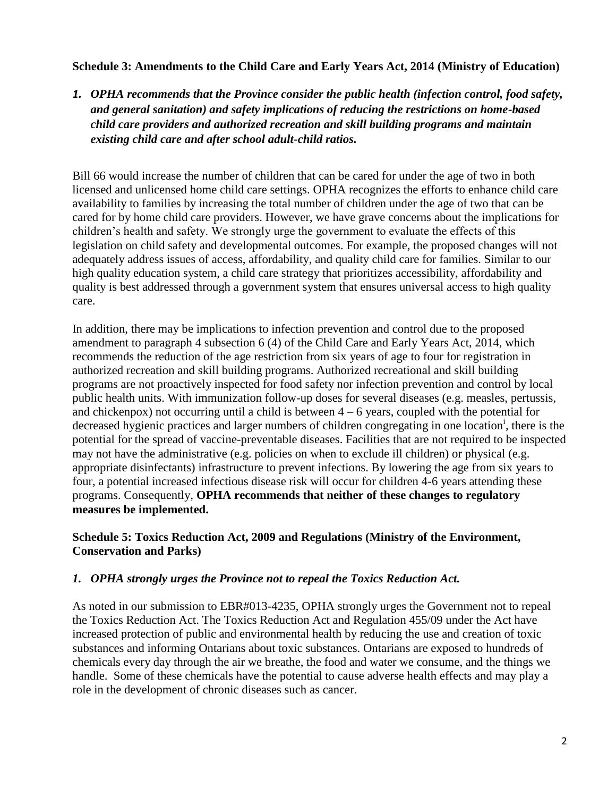### **Schedule 3: Amendments to the Child Care and Early Years Act, 2014 (Ministry of Education)**

*1. OPHA recommends that the Province consider the public health (infection control, food safety, and general sanitation) and safety implications of reducing the restrictions on home-based child care providers and authorized recreation and skill building programs and maintain existing child care and after school adult-child ratios.* 

Bill 66 would increase the number of children that can be cared for under the age of two in both licensed and unlicensed home child care settings. OPHA recognizes the efforts to enhance child care availability to families by increasing the total number of children under the age of two that can be cared for by home child care providers. However, we have grave concerns about the implications for children's health and safety. We strongly urge the government to evaluate the effects of this legislation on child safety and developmental outcomes. For example, the proposed changes will not adequately address issues of access, affordability, and quality child care for families. Similar to our high quality education system, a child care strategy that prioritizes accessibility, affordability and quality is best addressed through a government system that ensures universal access to high quality care.

In addition, there may be implications to infection prevention and control due to the proposed amendment to paragraph 4 subsection 6 (4) of the Child Care and Early Years Act, 2014, which recommends the reduction of the age restriction from six years of age to four for registration in authorized recreation and skill building programs. Authorized recreational and skill building programs are not proactively inspected for food safety nor infection prevention and control by local public health units. With immunization follow-up doses for several diseases (e.g. measles, pertussis, and chickenpox) not occurring until a child is between  $4 - 6$  years, coupled with the potential for decreased hygienic practices and larger numbers of children congregating in one location<sup>i</sup>, there is the potential for the spread of vaccine-preventable diseases. Facilities that are not required to be inspected may not have the administrative (e.g. policies on when to exclude ill children) or physical (e.g. appropriate disinfectants) infrastructure to prevent infections. By lowering the age from six years to four, a potential increased infectious disease risk will occur for children 4-6 years attending these programs. Consequently, **OPHA recommends that neither of these changes to regulatory measures be implemented.**

### **Schedule 5: Toxics Reduction Act, 2009 and Regulations (Ministry of the Environment, Conservation and Parks)**

### *1. OPHA strongly urges the Province not to repeal the Toxics Reduction Act.*

As noted in our submission to EBR#013-4235, OPHA strongly urges the Government not to repeal the Toxics Reduction Act. The Toxics Reduction Act and Regulation 455/09 under the Act have increased protection of public and environmental health by reducing the use and creation of toxic substances and informing Ontarians about toxic substances. Ontarians are exposed to hundreds of chemicals every day through the air we breathe, the food and water we consume, and the things we handle. Some of these chemicals have the potential to cause adverse health effects and may play a role in the development of chronic diseases such as cancer.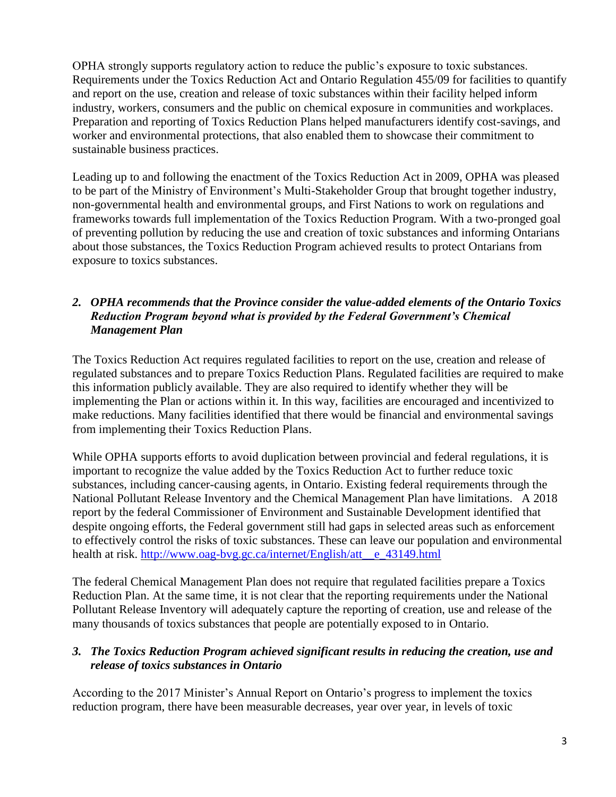OPHA strongly supports regulatory action to reduce the public's exposure to toxic substances. Requirements under the Toxics Reduction Act and Ontario Regulation 455/09 for facilities to quantify and report on the use, creation and release of toxic substances within their facility helped inform industry, workers, consumers and the public on chemical exposure in communities and workplaces. Preparation and reporting of Toxics Reduction Plans helped manufacturers identify cost-savings, and worker and environmental protections, that also enabled them to showcase their commitment to sustainable business practices.

Leading up to and following the enactment of the Toxics Reduction Act in 2009, OPHA was pleased to be part of the Ministry of Environment's Multi-Stakeholder Group that brought together industry, non-governmental health and environmental groups, and First Nations to work on regulations and frameworks towards full implementation of the Toxics Reduction Program. With a two-pronged goal of preventing pollution by reducing the use and creation of toxic substances and informing Ontarians about those substances, the Toxics Reduction Program achieved results to protect Ontarians from exposure to toxics substances.

# *2. OPHA recommends that the Province consider the value-added elements of the Ontario Toxics Reduction Program beyond what is provided by the Federal Government's Chemical Management Plan*

The Toxics Reduction Act requires regulated facilities to report on the use, creation and release of regulated substances and to prepare Toxics Reduction Plans. Regulated facilities are required to make this information publicly available. They are also required to identify whether they will be implementing the Plan or actions within it. In this way, facilities are encouraged and incentivized to make reductions. Many facilities identified that there would be financial and environmental savings from implementing their Toxics Reduction Plans.

While OPHA supports efforts to avoid duplication between provincial and federal regulations, it is important to recognize the value added by the Toxics Reduction Act to further reduce toxic substances, including cancer-causing agents, in Ontario. Existing federal requirements through the National Pollutant Release Inventory and the Chemical Management Plan have limitations. A 2018 report by the federal Commissioner of Environment and Sustainable Development identified that despite ongoing efforts, the Federal government still had gaps in selected areas such as enforcement to effectively control the risks of toxic substances. These can leave our population and environmental health at risk. [http://www.oag-bvg.gc.ca/internet/English/att\\_\\_e\\_43149.html](http://www.oag-bvg.gc.ca/internet/English/att__e_43149.html)

The federal Chemical Management Plan does not require that regulated facilities prepare a Toxics Reduction Plan. At the same time, it is not clear that the reporting requirements under the National Pollutant Release Inventory will adequately capture the reporting of creation, use and release of the many thousands of toxics substances that people are potentially exposed to in Ontario.

### *3. The Toxics Reduction Program achieved significant results in reducing the creation, use and release of toxics substances in Ontario*

According to the 2017 Minister's Annual Report on Ontario's progress to implement the toxics reduction program, there have been measurable decreases, year over year, in levels of toxic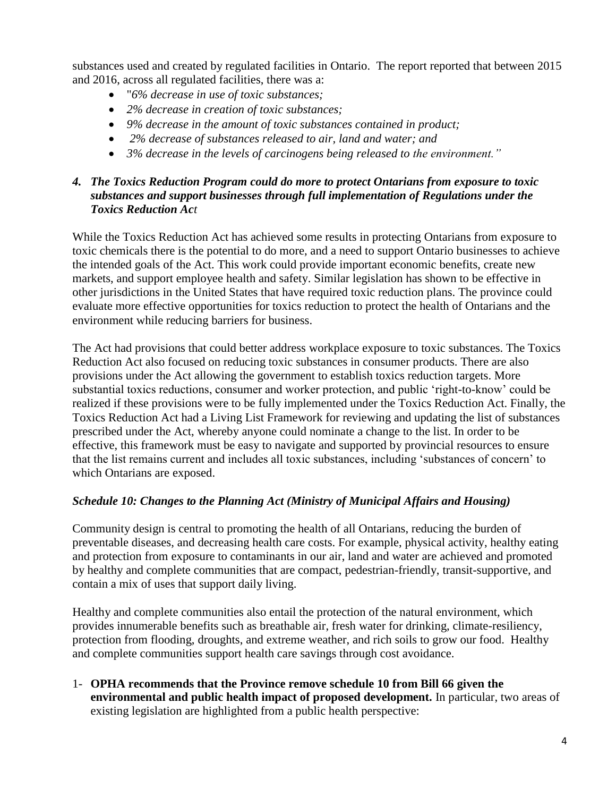substances used and created by regulated facilities in Ontario. The report reported that between 2015 and 2016, across all regulated facilities, there was a:

- "*6% decrease in use of toxic substances;*
- *2% decrease in creation of toxic substances;*
- *9% decrease in the amount of toxic substances contained in product;*
- *2% decrease of substances released to air, land and water; and*
- *3% decrease in the levels of carcinogens being released to the environment."*

### *4. The Toxics Reduction Program could do more to protect Ontarians from exposure to toxic substances and support businesses through full implementation of Regulations under the Toxics Reduction Act*

While the Toxics Reduction Act has achieved some results in protecting Ontarians from exposure to toxic chemicals there is the potential to do more, and a need to support Ontario businesses to achieve the intended goals of the Act. This work could provide important economic benefits, create new markets, and support employee health and safety. Similar legislation has shown to be effective in other jurisdictions in the United States that have required toxic reduction plans. The province could evaluate more effective opportunities for toxics reduction to protect the health of Ontarians and the environment while reducing barriers for business.

The Act had provisions that could better address workplace exposure to toxic substances. The Toxics Reduction Act also focused on reducing toxic substances in consumer products. There are also provisions under the Act allowing the government to establish toxics reduction targets. More substantial toxics reductions, consumer and worker protection, and public 'right-to-know' could be realized if these provisions were to be fully implemented under the Toxics Reduction Act. Finally, the Toxics Reduction Act had a Living List Framework for reviewing and updating the list of substances prescribed under the Act, whereby anyone could nominate a change to the list. In order to be effective, this framework must be easy to navigate and supported by provincial resources to ensure that the list remains current and includes all toxic substances, including 'substances of concern' to which Ontarians are exposed.

### *Schedule 10: Changes to the Planning Act (Ministry of Municipal Affairs and Housing)*

Community design is central to promoting the health of all Ontarians, reducing the burden of preventable diseases, and decreasing health care costs. For example, physical activity, healthy eating and protection from exposure to contaminants in our air, land and water are achieved and promoted by healthy and complete communities that are compact, pedestrian-friendly, transit-supportive, and contain a mix of uses that support daily living.

Healthy and complete communities also entail the protection of the natural environment, which provides innumerable benefits such as breathable air, fresh water for drinking, climate-resiliency, protection from flooding, droughts, and extreme weather, and rich soils to grow our food. Healthy and complete communities support health care savings through cost avoidance.

1- **OPHA recommends that the Province remove schedule 10 from Bill 66 given the environmental and public health impact of proposed development.** In particular, two areas of existing legislation are highlighted from a public health perspective: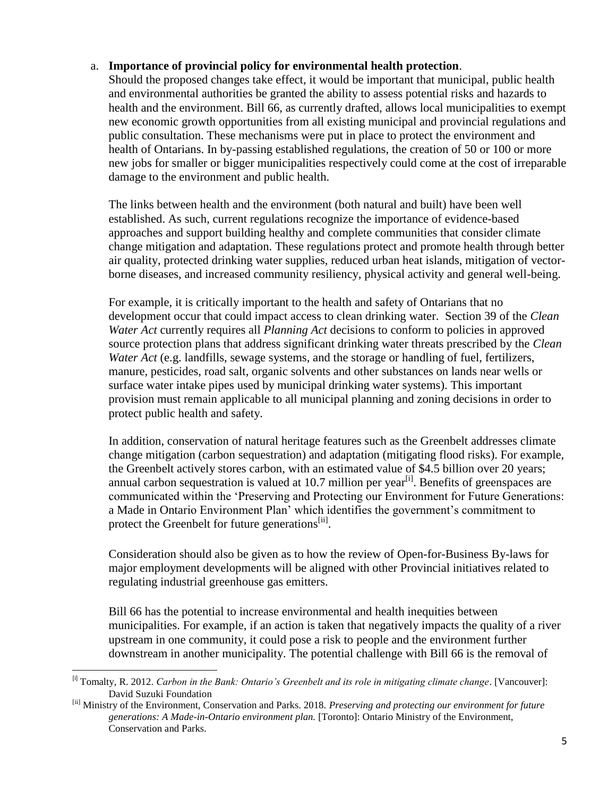#### a. **Importance of provincial policy for environmental health protection**.

Should the proposed changes take effect, it would be important that municipal, public health and environmental authorities be granted the ability to assess potential risks and hazards to health and the environment. Bill 66, as currently drafted, allows local municipalities to exempt new economic growth opportunities from all existing municipal and provincial regulations and public consultation. These mechanisms were put in place to protect the environment and health of Ontarians. In by-passing established regulations, the creation of 50 or 100 or more new jobs for smaller or bigger municipalities respectively could come at the cost of irreparable damage to the environment and public health.

The links between health and the environment (both natural and built) have been well established. As such, current regulations recognize the importance of evidence-based approaches and support building healthy and complete communities that consider climate change mitigation and adaptation. These regulations protect and promote health through better air quality, protected drinking water supplies, reduced urban heat islands, mitigation of vectorborne diseases, and increased community resiliency, physical activity and general well-being.

For example, it is critically important to the health and safety of Ontarians that no development occur that could impact access to clean drinking water. Section 39 of the *Clean Water Act* currently requires all *Planning Act* decisions to conform to policies in approved source protection plans that address significant drinking water threats prescribed by the *Clean Water Act* (e.g. landfills, sewage systems, and the storage or handling of fuel, fertilizers, manure, pesticides, road salt, organic solvents and other substances on lands near wells or surface water intake pipes used by municipal drinking water systems). This important provision must remain applicable to all municipal planning and zoning decisions in order to protect public health and safety.

In addition, conservation of natural heritage features such as the Greenbelt addresses climate change mitigation (carbon sequestration) and adaptation (mitigating flood risks). For example, the Greenbelt actively stores carbon, with an estimated value of \$4.5 billion over 20 years; annual carbon sequestration is valued at 10.7 million per year<sup>[i]</sup>. Benefits of greenspaces are communicated within the 'Preserving and Protecting our Environment for Future Generations: a Made in Ontario Environment Plan' which identifies the government's commitment to protect the Greenbelt for future generations<sup>[ii]</sup>.

Consideration should also be given as to how the review of Open-for-Business By-laws for major employment developments will be aligned with other Provincial initiatives related to regulating industrial greenhouse gas emitters.

Bill 66 has the potential to increase environmental and health inequities between municipalities. For example, if an action is taken that negatively impacts the quality of a river upstream in one community, it could pose a risk to people and the environment further downstream in another municipality. The potential challenge with Bill 66 is the removal of

 $\overline{a}$ 

<sup>[</sup>i] Tomalty, R. 2012. *Carbon in the Bank: Ontario's Greenbelt and its role in mitigating climate change*. [Vancouver]: David Suzuki Foundation

<sup>[</sup>ii] Ministry of the Environment, Conservation and Parks. 2018. *Preserving and protecting our environment for future generations: A Made-in-Ontario environment plan.* [Toronto]: Ontario Ministry of the Environment, Conservation and Parks.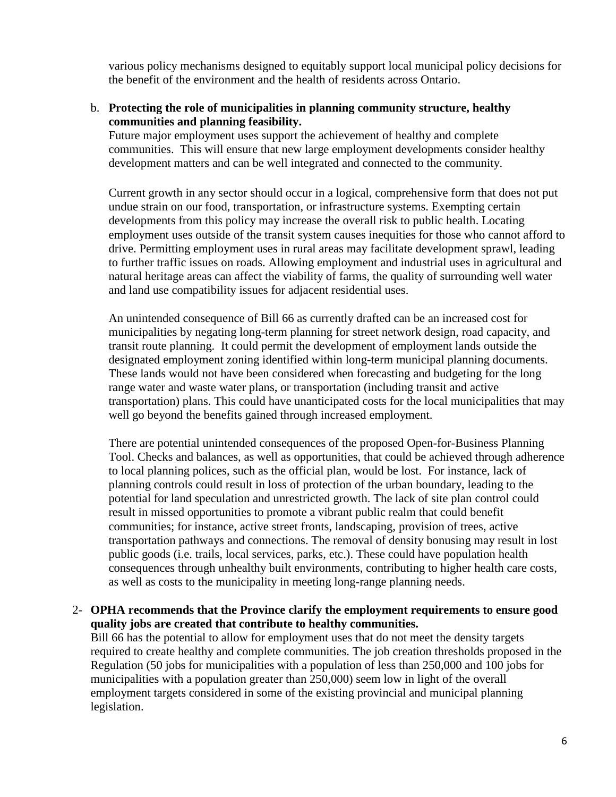various policy mechanisms designed to equitably support local municipal policy decisions for the benefit of the environment and the health of residents across Ontario.

#### b. **Protecting the role of municipalities in planning community structure, healthy communities and planning feasibility.**

Future major employment uses support the achievement of healthy and complete communities. This will ensure that new large employment developments consider healthy development matters and can be well integrated and connected to the community.

Current growth in any sector should occur in a logical, comprehensive form that does not put undue strain on our food, transportation, or infrastructure systems. Exempting certain developments from this policy may increase the overall risk to public health. Locating employment uses outside of the transit system causes inequities for those who cannot afford to drive. Permitting employment uses in rural areas may facilitate development sprawl, leading to further traffic issues on roads. Allowing employment and industrial uses in agricultural and natural heritage areas can affect the viability of farms, the quality of surrounding well water and land use compatibility issues for adjacent residential uses.

An unintended consequence of Bill 66 as currently drafted can be an increased cost for municipalities by negating long-term planning for street network design, road capacity, and transit route planning. It could permit the development of employment lands outside the designated employment zoning identified within long-term municipal planning documents. These lands would not have been considered when forecasting and budgeting for the long range water and waste water plans, or transportation (including transit and active transportation) plans. This could have unanticipated costs for the local municipalities that may well go beyond the benefits gained through increased employment.

There are potential unintended consequences of the proposed Open-for-Business Planning Tool. Checks and balances, as well as opportunities, that could be achieved through adherence to local planning polices, such as the official plan, would be lost. For instance, lack of planning controls could result in loss of protection of the urban boundary, leading to the potential for land speculation and unrestricted growth. The lack of site plan control could result in missed opportunities to promote a vibrant public realm that could benefit communities; for instance, active street fronts, landscaping, provision of trees, active transportation pathways and connections. The removal of density bonusing may result in lost public goods (i.e. trails, local services, parks, etc.). These could have population health consequences through unhealthy built environments, contributing to higher health care costs, as well as costs to the municipality in meeting long-range planning needs.

#### 2- **OPHA recommends that the Province clarify the employment requirements to ensure good quality jobs are created that contribute to healthy communities.**

Bill 66 has the potential to allow for employment uses that do not meet the density targets required to create healthy and complete communities. The job creation thresholds proposed in the Regulation (50 jobs for municipalities with a population of less than 250,000 and 100 jobs for municipalities with a population greater than 250,000) seem low in light of the overall employment targets considered in some of the existing provincial and municipal planning legislation.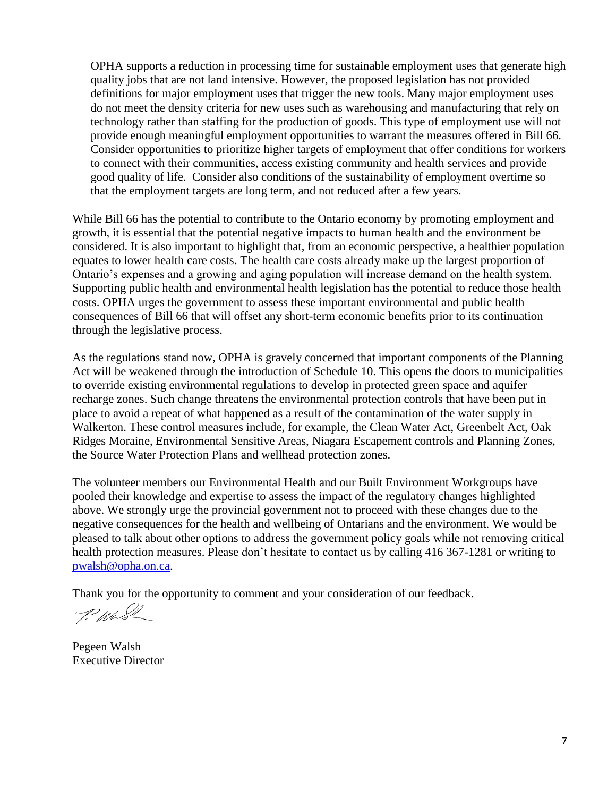OPHA supports a reduction in processing time for sustainable employment uses that generate high quality jobs that are not land intensive. However, the proposed legislation has not provided definitions for major employment uses that trigger the new tools. Many major employment uses do not meet the density criteria for new uses such as warehousing and manufacturing that rely on technology rather than staffing for the production of goods. This type of employment use will not provide enough meaningful employment opportunities to warrant the measures offered in Bill 66. Consider opportunities to prioritize higher targets of employment that offer conditions for workers to connect with their communities, access existing community and health services and provide good quality of life. Consider also conditions of the sustainability of employment overtime so that the employment targets are long term, and not reduced after a few years.

While Bill 66 has the potential to contribute to the Ontario economy by promoting employment and growth, it is essential that the potential negative impacts to human health and the environment be considered. It is also important to highlight that, from an economic perspective, a healthier population equates to lower health care costs. The health care costs already make up the largest proportion of Ontario's expenses and a growing and aging population will increase demand on the health system. Supporting public health and environmental health legislation has the potential to reduce those health costs. OPHA urges the government to assess these important environmental and public health consequences of Bill 66 that will offset any short-term economic benefits prior to its continuation through the legislative process.

As the regulations stand now, OPHA is gravely concerned that important components of the Planning Act will be weakened through the introduction of Schedule 10. This opens the doors to municipalities to override existing environmental regulations to develop in protected green space and aquifer recharge zones. Such change threatens the environmental protection controls that have been put in place to avoid a repeat of what happened as a result of the contamination of the water supply in Walkerton. These control measures include, for example, the Clean Water Act, Greenbelt Act, Oak Ridges Moraine, Environmental Sensitive Areas, Niagara Escapement controls and Planning Zones, the Source Water Protection Plans and wellhead protection zones.

The volunteer members our Environmental Health and our Built Environment Workgroups have pooled their knowledge and expertise to assess the impact of the regulatory changes highlighted above. We strongly urge the provincial government not to proceed with these changes due to the negative consequences for the health and wellbeing of Ontarians and the environment. We would be pleased to talk about other options to address the government policy goals while not removing critical health protection measures. Please don't hesitate to contact us by calling 416 367-1281 or writing to [pwalsh@opha.on.ca.](mailto:pwalsh@opha.on.ca)

Thank you for the opportunity to comment and your consideration of our feedback.

PWESL

Pegeen Walsh Executive Director